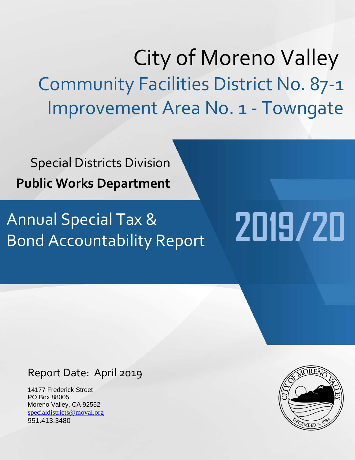# City of Moreno Valley Community Facilities District No. 87-1 Improvement Area No. 1 - Towngate

Special Districts Division **Public Works Department**

# Annual Special Tax & Bond Accountability Report

# Report Date: April 2019

14177 Frederick Street PO Box 88005 Moreno Valley, CA 92552 [specialdistricts@moval.org](mailto:specialdistricts@moval.org) 951.413.3480



**2019/20**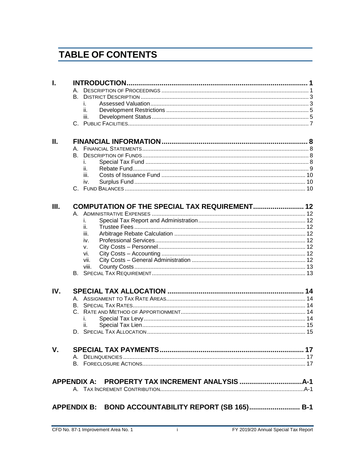# **TABLE OF CONTENTS**

| L           |           |                                                     |  |  |  |  |  |  |
|-------------|-----------|-----------------------------------------------------|--|--|--|--|--|--|
|             |           |                                                     |  |  |  |  |  |  |
|             | <b>B.</b> |                                                     |  |  |  |  |  |  |
|             | İ.        |                                                     |  |  |  |  |  |  |
|             | ii.       |                                                     |  |  |  |  |  |  |
|             | iii.      |                                                     |  |  |  |  |  |  |
|             |           |                                                     |  |  |  |  |  |  |
|             |           |                                                     |  |  |  |  |  |  |
| Ш.          |           |                                                     |  |  |  |  |  |  |
|             |           |                                                     |  |  |  |  |  |  |
|             | В.        |                                                     |  |  |  |  |  |  |
|             | İ.        |                                                     |  |  |  |  |  |  |
|             | ii.       |                                                     |  |  |  |  |  |  |
|             | iii.      |                                                     |  |  |  |  |  |  |
|             | iv.       |                                                     |  |  |  |  |  |  |
|             |           |                                                     |  |  |  |  |  |  |
|             |           |                                                     |  |  |  |  |  |  |
| Ш.          |           | COMPUTATION OF THE SPECIAL TAX REQUIREMENT 12       |  |  |  |  |  |  |
|             |           |                                                     |  |  |  |  |  |  |
|             | İ.        |                                                     |  |  |  |  |  |  |
|             | ii.       |                                                     |  |  |  |  |  |  |
|             | iii.      |                                                     |  |  |  |  |  |  |
|             | iv.       |                                                     |  |  |  |  |  |  |
|             | V.        |                                                     |  |  |  |  |  |  |
|             | vi.       |                                                     |  |  |  |  |  |  |
|             | vii.      |                                                     |  |  |  |  |  |  |
|             | viii.     |                                                     |  |  |  |  |  |  |
|             |           |                                                     |  |  |  |  |  |  |
| IV.         |           |                                                     |  |  |  |  |  |  |
|             |           |                                                     |  |  |  |  |  |  |
|             | В.        |                                                     |  |  |  |  |  |  |
|             |           |                                                     |  |  |  |  |  |  |
|             |           |                                                     |  |  |  |  |  |  |
|             | ii.       |                                                     |  |  |  |  |  |  |
|             |           |                                                     |  |  |  |  |  |  |
|             |           |                                                     |  |  |  |  |  |  |
| $V_{\cdot}$ |           |                                                     |  |  |  |  |  |  |
|             |           |                                                     |  |  |  |  |  |  |
|             |           |                                                     |  |  |  |  |  |  |
|             |           |                                                     |  |  |  |  |  |  |
|             |           |                                                     |  |  |  |  |  |  |
|             |           |                                                     |  |  |  |  |  |  |
|             |           | APPENDIX B: BOND ACCOUNTABILITY REPORT (SB 165) B-1 |  |  |  |  |  |  |
|             |           |                                                     |  |  |  |  |  |  |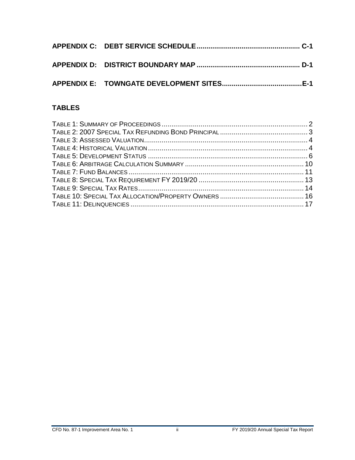## **TABLES**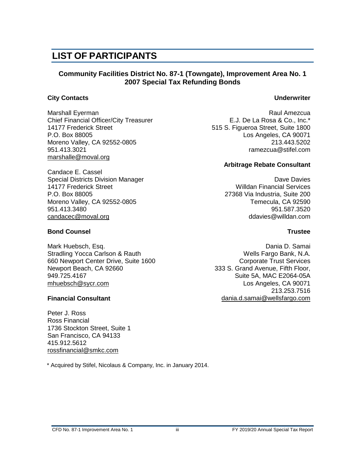# **LIST OF PARTICIPANTS**

#### **Community Facilities District No. 87-1 (Towngate), Improvement Area No. 1 2007 Special Tax Refunding Bonds**

#### **City Contacts Underwriter**

Marshall Eyerman **Raul Amezcua** Raul Amezcua Chief Financial Officer/City Treasurer E.J. De La Rosa & Co., Inc.\* 14177 Frederick Street **515 S. Figueroa Street, Suite 1800** P.O. Box 88005 **P.O. Box 88005** Los Angeles, CA 90071 Moreno Valley, CA 92552-0805 213.443.5202 951.413.3021 ramezcua@stifel.com marshalle@moval.org

Candace E. Cassel Special Districts Division Manager **David Strutter Control Control Control** Dave Davies 14177 Frederick Street Willdan Financial Services P.O. Box 88005 27368 Via Industria, Suite 200 Moreno Valley, CA 92552-0805 Moreno Valley, CA 92590 951.413.3480 951.587.3520 [candacec@moval.org](mailto:candacec@moval.org) ddavies@willdan.com

#### **Bond Counsel Trustee**

Mark Huebsch, Esq. Dania D. Samai Stradling Yocca Carlson & Rauth Wells Fargo Bank, N.A. 660 Newport Center Drive, Suite 1600 Corporate Trust Services Newport Beach, CA 92660 333 S. Grand Avenue, Fifth Floor,<br>949.725.4167 333 S. Grand Avenue, Fifth Floor, [mhuebsch@sycr.com](mailto:mhuebsch@sycr.com) **Los Angeles, CA 90071** 

Peter J. Ross Ross Financial 1736 Stockton Street, Suite 1 San Francisco, CA 94133 415.912.5612 [rossfinancial@smkc.com](mailto:rossfinancial@smkc.com)

\* Acquired by Stifel, Nicolaus & Company, Inc. in January 2014.

#### **Arbitrage Rebate Consultant**

Suite 5A, MAC E2064-05A 213.253.7516 **Financial Consultant** [dania.d.samai@wellsfargo.com](mailto:dania.d.samai@wellsfargo.com)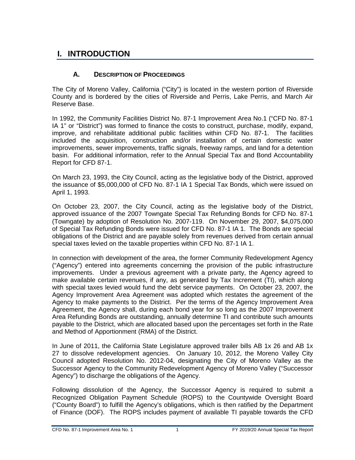# <span id="page-5-0"></span>**I. INTRODUCTION**

#### **A. DESCRIPTION OF PROCEEDINGS**

<span id="page-5-1"></span>The City of Moreno Valley, California ("City") is located in the western portion of Riverside County and is bordered by the cities of Riverside and Perris, Lake Perris, and March Air Reserve Base.

In 1992, the Community Facilities District No. 87-1 Improvement Area No.1 ("CFD No. 87-1 IA 1" or "District") was formed to finance the costs to construct, purchase, modify, expand, improve, and rehabilitate additional public facilities within CFD No. 87-1. The facilities included the acquisition, construction and/or installation of certain domestic water improvements, sewer improvements, traffic signals, freeway ramps, and land for a detention basin. For additional information, refer to the Annual Special Tax and Bond Accountability Report for CFD 87-1.

On March 23, 1993, the City Council, acting as the legislative body of the District, approved the issuance of \$5,000,000 of CFD No. 87-1 IA 1 Special Tax Bonds, which were issued on April 1, 1993.

On October 23, 2007, the City Council, acting as the legislative body of the District, approved issuance of the 2007 Towngate Special Tax Refunding Bonds for CFD No. 87-1 (Towngate) by adoption of Resolution No. 2007-119. On November 29, 2007, \$4,075,000 of Special Tax Refunding Bonds were issued for CFD No. 87-1 IA 1. The Bonds are special obligations of the District and are payable solely from revenues derived from certain annual special taxes levied on the taxable properties within CFD No. 87-1 IA 1.

In connection with development of the area, the former Community Redevelopment Agency ("Agency") entered into agreements concerning the provision of the public infrastructure improvements. Under a previous agreement with a private party, the Agency agreed to make available certain revenues, if any, as generated by Tax Increment (TI), which along with special taxes levied would fund the debt service payments. On October 23, 2007, the Agency Improvement Area Agreement was adopted which restates the agreement of the Agency to make payments to the District. Per the terms of the Agency Improvement Area Agreement, the Agency shall, during each bond year for so long as the 2007 Improvement Area Refunding Bonds are outstanding, annually determine TI and contribute such amounts payable to the District, which are allocated based upon the percentages set forth in the Rate and Method of Apportionment (RMA) of the District.

In June of 2011, the California State Legislature approved trailer bills AB 1x 26 and AB 1x 27 to dissolve redevelopment agencies. On January 10, 2012, the Moreno Valley City Council adopted Resolution No. 2012-04, designating the City of Moreno Valley as the Successor Agency to the Community Redevelopment Agency of Moreno Valley ("Successor Agency") to discharge the obligations of the Agency.

Following dissolution of the Agency, the Successor Agency is required to submit a Recognized Obligation Payment Schedule (ROPS) to the Countywide Oversight Board ("County Board") to fulfill the Agency's obligations, which is then ratified by the Department of Finance (DOF). The ROPS includes payment of available TI payable towards the CFD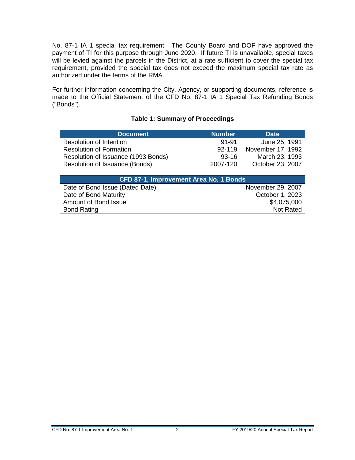No. 87-1 IA 1 special tax requirement. The County Board and DOF have approved the payment of TI for this purpose through June 2020. If future TI is unavailable, special taxes will be levied against the parcels in the District, at a rate sufficient to cover the special tax requirement, provided the special tax does not exceed the maximum special tax rate as authorized under the terms of the RMA.

For further information concerning the City, Agency, or supporting documents, reference is made to the Official Statement of the CFD No. 87-1 IA 1 Special Tax Refunding Bonds ("Bonds").

<span id="page-6-0"></span>

| <b>Number</b> | <b>Date</b>       |
|---------------|-------------------|
| 91-91         | June 25, 1991     |
| $92 - 119$    | November 17, 1992 |
| $93-16$       | March 23, 1993    |
| 2007-120      | October 23, 2007  |
|               |                   |

#### **Table 1: Summary of Proceedings**

| <b>CFD 87-1, Improvement Area No. 1 Bonds</b> |                   |  |  |  |  |
|-----------------------------------------------|-------------------|--|--|--|--|
| Date of Bond Issue (Dated Date)               | November 29, 2007 |  |  |  |  |
| Date of Bond Maturity                         | October 1, 2023   |  |  |  |  |
| Amount of Bond Issue                          | \$4,075,000       |  |  |  |  |
| <b>Bond Rating</b>                            | Not Rated         |  |  |  |  |
|                                               |                   |  |  |  |  |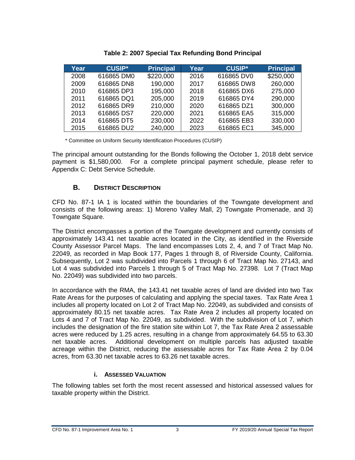<span id="page-7-2"></span>

| Year | <b>CUSIP*</b> | <b>Principal</b> | Year | <b>CUSIP*</b> | <b>Principal</b> |
|------|---------------|------------------|------|---------------|------------------|
| 2008 | 616865 DM0    | \$220,000        | 2016 | 616865 DV0    | \$250,000        |
| 2009 | 616865 DN8    | 190,000          | 2017 | 616865 DW8    | 260,000          |
| 2010 | 616865 DP3    | 195,000          | 2018 | 616865 DX6    | 275,000          |
| 2011 | 616865 DQ1    | 205,000          | 2019 | 616865 DY4    | 290,000          |
| 2012 | 616865 DR9    | 210,000          | 2020 | 616865 DZ1    | 300,000          |
| 2013 | 616865 DS7    | 220,000          | 2021 | 616865 EA5    | 315,000          |
| 2014 | 616865 DT5    | 230,000          | 2022 | 616865 EB3    | 330,000          |
| 2015 | 616865 DU2    | 240,000          | 2023 | 616865 EC1    | 345,000          |

#### **Table 2: 2007 Special Tax Refunding Bond Principal**

\* Committee on Uniform Security Identification Procedures (CUSIP)

The principal amount outstanding for the Bonds following the October 1, 2018 debt service payment is \$1,580,000. For a complete principal payment schedule, please refer to Appendix C: Debt Service Schedule.

#### **B. DISTRICT DESCRIPTION**

<span id="page-7-0"></span>CFD No. 87-1 IA 1 is located within the boundaries of the Towngate development and consists of the following areas: 1) Moreno Valley Mall, 2) Towngate Promenade, and 3) Towngate Square.

The District encompasses a portion of the Towngate development and currently consists of approximately 143.41 net taxable acres located in the City, as identified in the Riverside County Assessor Parcel Maps. The land encompasses Lots 2, 4, and 7 of Tract Map No. 22049, as recorded in Map Book 177, Pages 1 through 8, of Riverside County, California. Subsequently, Lot 2 was subdivided into Parcels 1 through 6 of Tract Map No. 27143, and Lot 4 was subdivided into Parcels 1 through 5 of Tract Map No. 27398. Lot 7 (Tract Map No. 22049) was subdivided into two parcels.

In accordance with the RMA, the 143.41 net taxable acres of land are divided into two Tax Rate Areas for the purposes of calculating and applying the special taxes. Tax Rate Area 1 includes all property located on Lot 2 of Tract Map No. 22049, as subdivided and consists of approximately 80.15 net taxable acres. Tax Rate Area 2 includes all property located on Lots 4 and 7 of Tract Map No. 22049, as subdivided. With the subdivision of Lot 7, which includes the designation of the fire station site within Lot 7, the Tax Rate Area 2 assessable acres were reduced by 1.25 acres, resulting in a change from approximately 64.55 to 63.30 net taxable acres. Additional development on multiple parcels has adjusted taxable acreage within the District, reducing the assessable acres for Tax Rate Area 2 by 0.04 acres, from 63.30 net taxable acres to 63.26 net taxable acres.

#### **i. ASSESSED VALUATION**

<span id="page-7-1"></span>The following tables set forth the most recent assessed and historical assessed values for taxable property within the District.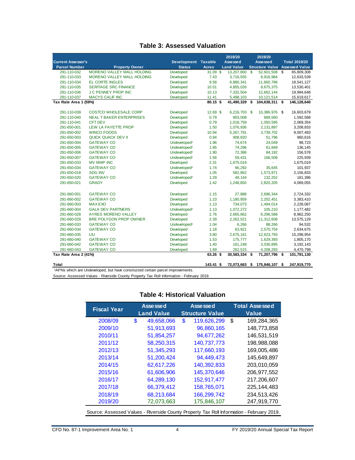#### **Table 3: Assessed Valuation**

<span id="page-8-0"></span>

|                           |                                   |                          |              | 2019/20           |              | 2019/20                |                       |
|---------------------------|-----------------------------------|--------------------------|--------------|-------------------|--------------|------------------------|-----------------------|
| <b>Current Assessor's</b> |                                   | Development Taxable      |              | Assessed          |              | Assessed               | <b>Total 2019/20</b>  |
| <b>Parcel Number</b>      | <b>Property Owner</b>             | <b>Status</b>            | <b>Acres</b> | <b>Land Value</b> |              | <b>Structure Value</b> | <b>Assessed Value</b> |
| 291-110-032               | <b>MORENO VALLEY MALL HOLDING</b> | Developed                | $31.09$ \$   | 13,207,800        | $\mathbf{s}$ | 52,601,508             | \$<br>65,809,308      |
| 291-110-033               | <b>MORENO VALLEY MALL HOLDING</b> | Developed                | 7.43         | 3,716,555         |              | 8,916,984              | 12,633,539            |
| 291-110-034               | <b>EL CORTE INGLES</b>            | Developed                | 9.58         | 6,880,341         |              | 11,660,786             | 18,541,127            |
| 291-110-035               | <b>SERITAGE SRC FINANCE</b>       | Developed                | 10.51        | 4,855,026         |              | 8,675,375              | 13,530,401            |
| 291-110-036               | <b>J C PENNEY PROP INC</b>        | Developed                | 10.13        | 7,332,504         |              | 12,662,144             | 19,994,648            |
| 291-110-037               | <b>MACYS CALIF INC</b>            | Developed                | 11.41        | 5,498,103         |              | 10,121,514             | 15,619,617            |
| Tax Rate Area 1 (59%)     |                                   |                          | 80.15 \$     | 41,490,329        | \$           | 104,638,311 \$         | 146,128,640           |
|                           |                                   |                          |              |                   |              |                        |                       |
| 291-110-039               | <b>COSTCO WHOLESALE CORP</b>      | Developed                | 12.69 \$     | 6,216,703         | - \$         | 10,386,976 \$          | 16,603,679            |
| 291-110-040               | <b>NEAL T BAKER ENTERPRISES</b>   | Developed                | 0.79         | 903,008           |              | 689,560                | 1,592,568             |
| 291-110-041               | <b>CFT DEV</b>                    | Developed                | 0.79         | 1,018,759         |              | 1,050,595              | 2,069,354             |
| 291-650-001               | <b>LEW LA FAYETTE PROP</b>        | Developed                | 1.50         | 1,076,936         |              | 2,131,897              | 3,208,833             |
| 291-650-002               | <b>WINCO FOODS</b>                | Developed                | 10.94        | 5,267,791         |              | 3,739,702              | 9,007,493             |
| 291-650-003               | <b>QUICK QUACK DEV II</b>         | Developed                | 0.94         | 908,820           |              | 51,796                 | 960,616               |
| 291-650-004               | <b>GATEWAY CO</b>                 | Undeveloped <sup>1</sup> | 1.96         | 74,674            |              | 24,049                 | 98,723                |
| 291-650-005               | <b>GATEWAY CO</b>                 | Undeveloped <sup>1</sup> | 1.95         | 74,296            |              | 61,849                 | 136,145               |
| 291-650-006               | <b>GATEWAY CO</b>                 | Undeveloped <sup>1</sup> | 1.90         | 72,386            |              | 84,192                 | 156,578               |
| 291-650-007               | <b>GATEWAY CO</b>                 | Undeveloped <sup>1</sup> | 1.56         | 59,431            |              | 166,508                | 225,939               |
| 291-650-033               | <b>MV MMP INC</b>                 | Developed                | 2.31         | 1,675,019         |              |                        | 1,675,019             |
| 291-650-034               | <b>GATEWAY CO</b>                 | Undeveloped <sup>1</sup> | 1.74         | 66,292            |              | 35,645                 | 101,937               |
| 291-650-018               | <b>SDG INV</b>                    | Developed                | 1.05         | 582,862           |              | 1,573,971              | 2,156,833             |
| 291-650-020               | <b>GATEWAY CO</b>                 | Undeveloped <sup>1</sup> | 1.29         | 49,144            |              | 132,252                | 181,396               |
| 291-650-021               | <b>GRADY</b>                      | Developed                | 1.42         | 1,248,850         |              | 2,820,205              | 4,069,055             |
|                           |                                   |                          |              |                   |              |                        |                       |
| 291-660-001               | <b>GATEWAY CO</b>                 | Developed                | 1.15         | 27,988            |              | 2,696,344              | 2,724,332             |
| 291-660-002               | <b>GATEWAY CO</b>                 | Developed                | 1.23         | 1,180,959         |              | 2,202,451              | 3,383,410             |
| 291-660-003               | <b>MAXEXO</b>                     | Developed                | 1.13         | 734,073           |              | 1,494,014              | 2,228,087             |
| 291-660-004               | <b>GALA DEV PARTNERS</b>          | Undeveloped <sup>1</sup> | 1.13         | 1,072,272         |              | 105,210                | 1,177,482             |
| 291-660-028               | <b>AYRES MORENO VALLEY</b>        | Developed                | 2.76         | 2,665,662         |              | 6,296,588              | 8,962,250             |
| 291-660-029               | <b>BRE POLYGON PROP OWNER</b>     | Developed                | 2.39         | 2,262,521         |              | 11,312,608             | 13,575,129            |
| 291-660-033               | <b>GATEWAY CO</b>                 | Undeveloped <sup>1</sup> | 1.04         | 6,266             |              | 88,266                 | 94,532                |
| 291-660-034               | <b>GATEWAY CO</b>                 | Developed                | 1.18         | 63,921            |              | 2,570,754              | 2,634,675             |
| 291-660-035               | LIU                               | Developed                | 3.80         | 2,675,161         |              | 12,623,793             | 15,298,954            |
| 291-660-040               | <b>GATEWAY CO</b>                 | Developed                | 1.53         | 175,777           |              | 1,629,393              | 1,805,170             |
| 291-660-042               | <b>GATEWAY CO</b>                 | Developed                | 1.40         | 161,248           |              | 3,030,895              | 3, 192, 143           |
| 291-660-043               | <b>GATEWAY CO</b>                 | Developed                | 1.69         | 262,515           |              | 4,208,283              | 4,470,798             |
| Tax Rate Area 2 (41%)     |                                   |                          | 63.26 \$     | 30,583,334        | \$           | 71,207,796 \$          | 101,791,130           |
| Total                     |                                   |                          | $143.41$ \$  | 72.073.663        | \$           | 175,846,107 \$         | 247.919.770           |

<sup>1</sup>APNs which are Undeveloped, but have constructed certain parcel improvements.

<span id="page-8-1"></span>Source: Assessed Values - Riverside County Property Tax Roll Information - February 2019.

| <b>Fiscal Year</b>                                                                        |    | Asse ssed<br><b>Land Value</b> |    | Asse ssed<br><b>Structure Value</b> |    | <b>Total Assessed</b><br><b>Value</b> |
|-------------------------------------------------------------------------------------------|----|--------------------------------|----|-------------------------------------|----|---------------------------------------|
| 2008/09                                                                                   | \$ | 49,658,066                     | \$ | 119,626,299                         | \$ | 169,284,365                           |
| 2009/10                                                                                   |    | 51,913,693                     |    | 96,860,165                          |    | 148,773,858                           |
| 2010/11                                                                                   |    | 51,854,257                     |    | 94,677,262                          |    | 146,531,519                           |
| 2011/12                                                                                   |    | 58,250,315                     |    | 140,737,773                         |    | 198,988,088                           |
| 2012/13                                                                                   |    | 51,345,293                     |    | 117,660,193                         |    | 169,005,486                           |
| 2013/14                                                                                   |    | 51,200,424                     |    | 94,449,473                          |    | 145,649,897                           |
| 2014/15                                                                                   |    | 62,617,226                     |    | 140,392,833                         |    | 203,010,059                           |
| 2015/16                                                                                   |    | 61,606,906                     |    | 145,370,646                         |    | 206,977,552                           |
| 2016/17                                                                                   |    | 64,289,130                     |    | 152,917,477                         |    | 217,206,607                           |
| 2017/18                                                                                   |    | 66,379,412                     |    | 158,765,071                         |    | 225, 144, 483                         |
| 2018/19                                                                                   |    | 68,213,684                     |    | 166,299,742                         |    | 234,513,426                           |
| 2019/20                                                                                   |    | 72,073,663                     |    | 175,846,107                         |    | 247,919,770                           |
| Source: Assessed Values - Riverside County Property Tax Roll Information - February 2019. |    |                                |    |                                     |    |                                       |

### **Table 4: Historical Valuation**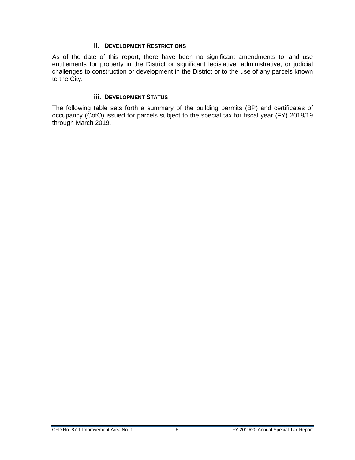#### **ii. DEVELOPMENT RESTRICTIONS**

<span id="page-9-0"></span>As of the date of this report, there have been no significant amendments to land use entitlements for property in the District or significant legislative, administrative, or judicial challenges to construction or development in the District or to the use of any parcels known to the City.

#### **iii. DEVELOPMENT STATUS**

<span id="page-9-1"></span>The following table sets forth a summary of the building permits (BP) and certificates of occupancy (CofO) issued for parcels subject to the special tax for fiscal year (FY) 2018/19 through March 2019.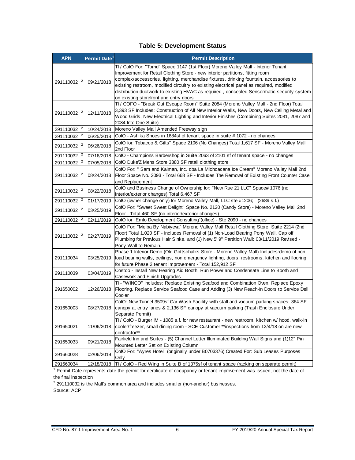#### **Table 5: Development Status**

<span id="page-10-0"></span>

| <b>APN</b>             | Permit Date <sup>1</sup>          | <b>Permit Description</b>                                                                                                                                                                                                                                                                                                                                                                                                                                                                         |
|------------------------|-----------------------------------|---------------------------------------------------------------------------------------------------------------------------------------------------------------------------------------------------------------------------------------------------------------------------------------------------------------------------------------------------------------------------------------------------------------------------------------------------------------------------------------------------|
| 291110032 <sup>2</sup> | 09/21/2018                        | TI / CofO For: "Torrid" Space 1147 (1st Floor) Moreno Valley Mall - Interior Tenant<br>Improvement for Retail Clothing Store - new interior partitions, fitting room<br>complex/accessories, lighting, merchandise fixtures, drinking fountain, accessories to<br>existing restroom, modified circuitry to existing electrical panel as required, modified<br>distribution ductwork to existing HVAC as required, concealed Sensormatic security system<br>on existing storefront and entry doors |
|                        | 291110032 <sup>2</sup> 12/11/2018 | TI / COFO - "Break Out Escape Room" Suite 2084 (Moreno Valley Mall - 2nd Floor) Total<br>3,393 SF Includes: Construction of All New Interior Walls, New Doors, New Ceiling Metal and<br>Wood Grids, New Electrical Lighting and Interior Finishes (Combining Suites 2081, 2087 and<br>2084 Into One Suite)                                                                                                                                                                                        |
| 291110032 <sup>2</sup> | 10/24/2018                        | Moreno Valley Mall Amended Freeway sign                                                                                                                                                                                                                                                                                                                                                                                                                                                           |
| 291110032 <sup>2</sup> | 06/25/2018                        | CofO - Ashika Shoes in 1684sf of tenant space in suite # 1072 - no changes                                                                                                                                                                                                                                                                                                                                                                                                                        |
| 291110032 <sup>2</sup> | 06/26/2018                        | CofO for: Tobacco & Gifts" Space 2106 (No Changes) Total 1,617 SF - Moreno Valley Mall<br>2nd Floor                                                                                                                                                                                                                                                                                                                                                                                               |
| 291110032 <sup>2</sup> | 07/16/2018                        | CofO - Champions Barbershop in Suite 2063 of 2101 sf of tenant space - no changes                                                                                                                                                                                                                                                                                                                                                                                                                 |
| 291110032 <sup>2</sup> | 07/05/2018                        | CofO Duke'Z Mens Store 3380 SF retail clothing store                                                                                                                                                                                                                                                                                                                                                                                                                                              |
| 291110032 <sup>2</sup> | 08/24/2018                        | CofO For: " Sam and Kaiman, Inc. dba La Michoacana Ice Cream" Moreno Valley Mall 2nd<br>Floor Space No. 2093 - Total 668 SF - Includes The Removal of Existing Front Counter Case<br>and Replacement                                                                                                                                                                                                                                                                                              |
| 291110032 <sup>2</sup> | 08/22/2018                        | CofO and Business Change of Ownership for: "New Rue 21 LLC" Space# 1076 (no<br>interior/exterior changes) Total 6,467 SF                                                                                                                                                                                                                                                                                                                                                                          |
| 291110032 <sup>2</sup> | 01/17/2019                        | CofO (owner change only) for Moreno Valley Mall, LLC ste #1206;<br>(2689 s.f.)                                                                                                                                                                                                                                                                                                                                                                                                                    |
| 291110032 <sup>2</sup> | 03/25/2019                        | CofO For: "Sweet Sweet Delight" Space No. 2120 (Candy Store) - Moreno Valley Mall 2nd<br>Floor - Total 460 SF (no interior/exterior changes)                                                                                                                                                                                                                                                                                                                                                      |
| 291110032 <sup>2</sup> | 02/11/2019                        | CofO for "Emlo Development Consulting" (office) - Ste 2090 - no changes                                                                                                                                                                                                                                                                                                                                                                                                                           |
| 291110032 <sup>2</sup> | 02/27/2019                        | CofO For: "Melba By Nabiyeva" Moreno Valley Mall Retail Clothing Store, Suite 2214 (2nd<br>Floor) Total 1,020 SF - Includes Removal of (1) Non-Load Bearing Pony Wall, Cap off<br>Plumbing for Previous Hair Sinks, and (1) New 5' 9" Partition Wall; 03/11/2019 Revised -<br>Pony Wall to Remain.                                                                                                                                                                                                |
| 291110034              | 03/25/2019                        | Phase 1 Interior Demo (Old Gottschalks Store - Moreno Valley Mall) Includes: demo of non<br>load bearing walls, ceilings, non emergency lighting, doors, restrooms, kitchen and flooring<br>for future Phase 2 tenant improvement - Total 152,912 SF                                                                                                                                                                                                                                              |
| 291110039              | 03/04/2019                        | Costco - Install New Hearing Aid Booth, Run Power and Condensate Line to Booth and<br>Casework and Finish Upgrades                                                                                                                                                                                                                                                                                                                                                                                |
| 291650002              | 12/26/2018                        | TI - "WINCO" Includes: Replace Existing Seafood and Combination Oven, Replace Epoxy<br>Flooring, Replace Service Seafood Case and Adding (3) New Reach-In Doors to Service Deli<br>Cooler                                                                                                                                                                                                                                                                                                         |
| 291650003              | 08/27/2018                        | CofO: New Tunnel 3509sf Car Wash Facility with staff and vacuum parking spaces; 364 SF<br>canopy at entry lanes & 2,136 SF canopy at vacuum parking (Trash Enclosure Under<br>Separate Permit)                                                                                                                                                                                                                                                                                                    |
| 291650021              | 11/06/2018                        | TI / CofO - Burger IM - 1085 s.f. for new restaurant - new restroom, kitchen w/ hood, walk-in<br>cooler/freezer, small dining room - SCE Customer **inspections from 12/4/18 on are new<br>contractor**                                                                                                                                                                                                                                                                                           |
| 291650033              | 09/21/2018                        | Fairfield Inn and Suites - (5) Channel Letter Illuminated Building Wall Signs and (1)12" Pin<br>Mounted Letter Set on Existing Column                                                                                                                                                                                                                                                                                                                                                             |
| 291660028              | 02/06/2019                        | CofO For: "Ayres Hotel" (originally under B0703376) Created For: Sub Leases Purposes<br>Only                                                                                                                                                                                                                                                                                                                                                                                                      |
| 291660034              | 12/18/2018                        | TI / CofO - Red Wing in Suite B of 1375sf of tenant space (racking on separate permit)                                                                                                                                                                                                                                                                                                                                                                                                            |

291660034 12/18/2018 | Π / CofO - Red Wing in Suite B of 1375sf of tenant space (racking on separate permit)<br><sup>1</sup> Permit Date represents date the permit for certificate of occupancy or tenant improvement was issued, not th

the final inspection<br><sup>2</sup> 291110032 is the Mall's common area and includes smaller (non-anchor) businesses.

Source: ACP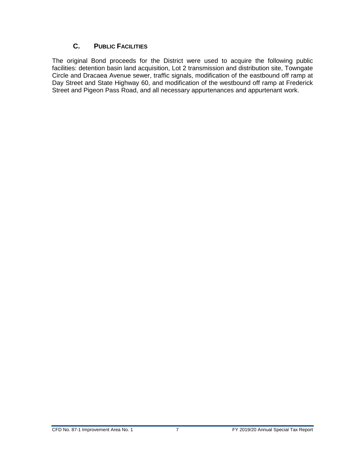#### **C. PUBLIC FACILITIES**

<span id="page-11-0"></span>The original Bond proceeds for the District were used to acquire the following public facilities: detention basin land acquisition, Lot 2 transmission and distribution site, Towngate Circle and Dracaea Avenue sewer, traffic signals, modification of the eastbound off ramp at Day Street and State Highway 60, and modification of the westbound off ramp at Frederick Street and Pigeon Pass Road, and all necessary appurtenances and appurtenant work.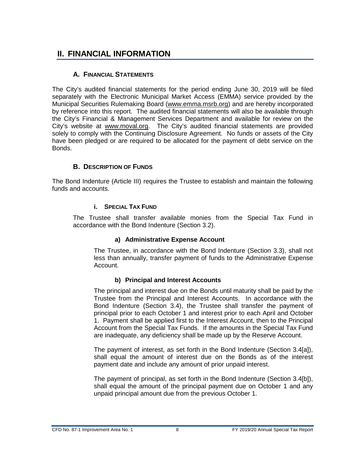# <span id="page-12-1"></span><span id="page-12-0"></span>**II. FINANCIAL INFORMATION**

#### **A. FINANCIAL STATEMENTS**

The City's audited financial statements for the period ending June 30, 2019 will be filed separately with the Electronic Municipal Market Access (EMMA) service provided by the Municipal Securities Rulemaking Board [\(www.emma.msrb.org\)](http://www.emma.msrb.org/) and are hereby incorporated by reference into this report. The audited financial statements will also be available through the City's Financial & Management Services Department and available for review on the City's website at [www.moval.org.](http://www.moval.org/) The City's audited financial statements are provided solely to comply with the Continuing Disclosure Agreement. No funds or assets of the City have been pledged or are required to be allocated for the payment of debt service on the Bonds.

#### **B. DESCRIPTION OF FUNDS**

<span id="page-12-3"></span><span id="page-12-2"></span>The Bond Indenture (Article III) requires the Trustee to establish and maintain the following funds and accounts.

#### **i. SPECIAL TAX FUND**

The Trustee shall transfer available monies from the Special Tax Fund in accordance with the Bond Indenture (Section 3.2).

#### **a) Administrative Expense Account**

The Trustee, in accordance with the Bond Indenture (Section 3.3), shall not less than annually, transfer payment of funds to the Administrative Expense Account.

#### **b) Principal and Interest Accounts**

The principal and interest due on the Bonds until maturity shall be paid by the Trustee from the Principal and Interest Accounts. In accordance with the Bond Indenture (Section 3.4), the Trustee shall transfer the payment of principal prior to each October 1 and interest prior to each April and October 1. Payment shall be applied first to the Interest Account, then to the Principal Account from the Special Tax Funds. If the amounts in the Special Tax Fund are inadequate, any deficiency shall be made up by the Reserve Account.

The payment of interest, as set forth in the Bond Indenture (Section 3.4[a]), shall equal the amount of interest due on the Bonds as of the interest payment date and include any amount of prior unpaid interest.

The payment of principal, as set forth in the Bond Indenture (Section 3.4[b]), shall equal the amount of the principal payment due on October 1 and any unpaid principal amount due from the previous October 1.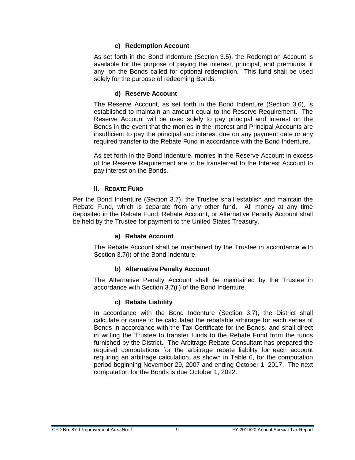#### **c) Redemption Account**

As set forth in the Bond Indenture (Section 3.5), the Redemption Account is available for the purpose of paying the interest, principal, and premiums, if any, on the Bonds called for optional redemption. This fund shall be used solely for the purpose of redeeming Bonds.

#### **d) Reserve Account**

The Reserve Account, as set forth in the Bond Indenture (Section 3.6), is established to maintain an amount equal to the Reserve Requirement. The Reserve Account will be used solely to pay principal and interest on the Bonds in the event that the monies in the Interest and Principal Accounts are insufficient to pay the principal and interest due on any payment date or any required transfer to the Rebate Fund in accordance with the Bond Indenture.

As set forth in the Bond Indenture, monies in the Reserve Account in excess of the Reserve Requirement are to be transferred to the Interest Account to pay interest on the Bonds.

#### **ii. REBATE FUND**

<span id="page-13-0"></span>Per the Bond Indenture (Section 3.7), the Trustee shall establish and maintain the Rebate Fund, which is separate from any other fund. All money at any time deposited in the Rebate Fund, Rebate Account, or Alternative Penalty Account shall be held by the Trustee for payment to the United States Treasury.

#### **a) Rebate Account**

The Rebate Account shall be maintained by the Trustee in accordance with Section 3.7(i) of the Bond Indenture.

#### **b) Alternative Penalty Account**

The Alternative Penalty Account shall be maintained by the Trustee in accordance with Section 3.7(ii) of the Bond Indenture.

#### **c) Rebate Liability**

In accordance with the Bond Indenture (Section 3.7), the District shall calculate or cause to be calculated the rebatable arbitrage for each series of Bonds in accordance with the Tax Certificate for the Bonds, and shall direct in writing the Trustee to transfer funds to the Rebate Fund from the funds furnished by the District. The Arbitrage Rebate Consultant has prepared the required computations for the arbitrage rebate liability for each account requiring an arbitrage calculation, as shown in Table 6, for the computation period beginning November 29, 2007 and ending October 1, 2017. The next computation for the Bonds is due October 1, 2022.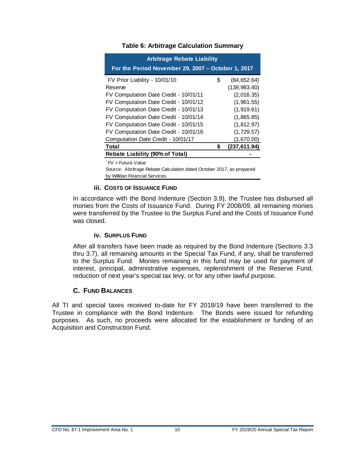<span id="page-14-3"></span>

| <b>Arbitrage Rebate Liability</b><br>For the Period November 29, 2007 - October 1, 2017 |   |               |  |  |  |  |
|-----------------------------------------------------------------------------------------|---|---------------|--|--|--|--|
| FV Prior Liability - 10/01/10                                                           | S | (84, 652.64)  |  |  |  |  |
| Reserve                                                                                 |   | (139, 983.40) |  |  |  |  |
| FV Computation Date Credit - 10/01/11                                                   |   | (2,016.35)    |  |  |  |  |
| FV Computation Date Credit - 10/01/12                                                   |   | (1,961.55)    |  |  |  |  |
| FV Computation Date Credit - 10/01/13                                                   |   | (1,919.61)    |  |  |  |  |
| FV Computation Date Credit - 10/01/14                                                   |   | (1,865.85)    |  |  |  |  |
| FV Computation Date Credit - 10/01/15                                                   |   | (1,812.97)    |  |  |  |  |
| FV Computation Date Credit - 10/01/16                                                   |   | (1,729.57)    |  |  |  |  |
| Computation Date Credit - 10/01/17                                                      |   | (1,670.00)    |  |  |  |  |
| <b>Total</b><br>(237, 611.94)                                                           |   |               |  |  |  |  |
| <b>Rebate Liability (90% of Total)</b>                                                  |   |               |  |  |  |  |

#### **Table 6: Arbitrage Calculation Summary**

 $FV =$  Future Value

Source: Abritrage Rebate Calculation dated October 2017, as prepared by Willdan Financial Services.

#### **iii. COSTS OF ISSUANCE FUND**

<span id="page-14-0"></span>In accordance with the Bond Indenture (Section 3.9), the Trustee has disbursed all monies from the Costs of Issuance Fund. During FY 2008/09, all remaining monies were transferred by the Trustee to the Surplus Fund and the Costs of Issuance Fund was closed.

#### **iv. SURPLUS FUND**

<span id="page-14-1"></span>After all transfers have been made as required by the Bond Indenture (Sections 3.3 thru 3.7), all remaining amounts in the Special Tax Fund, if any, shall be transferred to the Surplus Fund. Monies remaining in this fund may be used for payment of interest, principal, administrative expenses, replenishment of the Reserve Fund, reduction of next year's special tax levy, or for any other lawful purpose.

#### **C. FUND BALANCES**

<span id="page-14-2"></span>All TI and special taxes received to-date for FY 2018/19 have been transferred to the Trustee in compliance with the Bond Indenture. The Bonds were issued for refunding purposes. As such, no proceeds were allocated for the establishment or funding of an Acquisition and Construction Fund.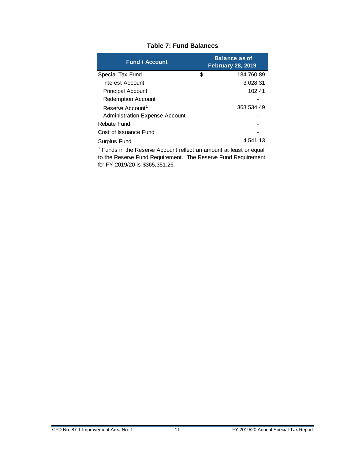<span id="page-15-0"></span>

| <b>Fund / Account</b>                 | <b>Balance as of</b><br><b>February 28, 2019</b> |
|---------------------------------------|--------------------------------------------------|
| Special Tax Fund                      | \$<br>184,760.89                                 |
| Interest Account                      | 3,028.31                                         |
| <b>Principal Account</b>              | 102.41                                           |
| <b>Redemption Account</b>             |                                                  |
| Reserve Account <sup>1</sup>          | 368,534.49                                       |
| <b>Administration Expense Account</b> |                                                  |
| Rebate Fund                           |                                                  |
| Cost of Issuance Fund                 |                                                  |
| Surplus Fund                          | 4.541.13                                         |

#### **Table 7: Fund Balances**

<sup>1</sup> Funds in the Reserve Account reflect an amount at least or equal to the Reserve Fund Requirement. The Reserve Fund Requirement for FY 2019/20 is \$365,351.26.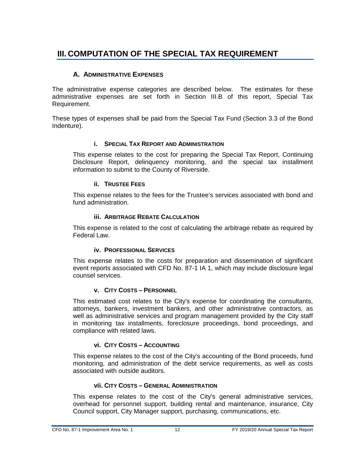# <span id="page-16-0"></span>**III. COMPUTATION OF THE SPECIAL TAX REQUIREMENT**

#### **A. ADMINISTRATIVE EXPENSES**

<span id="page-16-1"></span>The administrative expense categories are described below. The estimates for these administrative expenses are set forth in Section III.B of this report, Special Tax Requirement.

<span id="page-16-2"></span>These types of expenses shall be paid from the Special Tax Fund (Section 3.3 of the Bond Indenture).

#### **i. SPECIAL TAX REPORT AND ADMINISTRATION**

This expense relates to the cost for preparing the Special Tax Report, Continuing Disclosure Report, delinquency monitoring, and the special tax installment information to submit to the County of Riverside.

#### **ii. TRUSTEE FEES**

<span id="page-16-3"></span>This expense relates to the fees for the Trustee's services associated with bond and fund administration.

#### **iii. ARBITRAGE REBATE CALCULATION**

<span id="page-16-4"></span>This expense is related to the cost of calculating the arbitrage rebate as required by Federal Law.

#### **iv. PROFESSIONAL SERVICES**

<span id="page-16-5"></span>This expense relates to the costs for preparation and dissemination of significant event reports associated with CFD No. 87-1 IA 1, which may include disclosure legal counsel services.

#### **v. CITY COSTS – PERSONNEL**

<span id="page-16-6"></span>This estimated cost relates to the City's expense for coordinating the consultants, attorneys, bankers, investment bankers, and other administrative contractors, as well as administrative services and program management provided by the City staff in monitoring tax installments, foreclosure proceedings, bond proceedings, and compliance with related laws.

#### **vi. CITY COSTS – ACCOUNTING**

<span id="page-16-7"></span>This expense relates to the cost of the City's accounting of the Bond proceeds, fund monitoring, and administration of the debt service requirements, as well as costs associated with outside auditors.

#### **vii. CITY COSTS – GENERAL ADMINISTRATION**

<span id="page-16-8"></span>This expense relates to the cost of the City's general administrative services, overhead for personnel support, building rental and maintenance, insurance, City Council support, City Manager support, purchasing, communications, etc.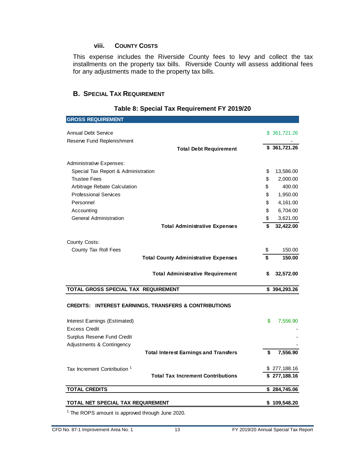#### **viii. COUNTY COSTS**

<span id="page-17-0"></span>This expense includes the Riverside County fees to levy and collect the tax installments on the property tax bills. Riverside County will assess additional fees for any adjustments made to the property tax bills.

#### <span id="page-17-1"></span>**B. SPECIAL TAX REQUIREMENT**

# <span id="page-17-2"></span>**GROSS REQUIREMENT** Annual Debt Service \$ 361,721.26 Reserve Fund Replenishment **Total Debt Requirement \$ 361,721.26**  Administrative Expenses: Special Tax Report & Administration  $$ 13,586.00$ Trustee Fees \$ 2,000.00 Arbitrage Rebate Calculation **by the Calculation** and the contract of the contract of the 400.00 Professional Services **by a 1,950.00 by a 1,950.00 c** 1,950.00  $P$ ersonnel  $\qquad \qquad \qquad$  4,161.00 Accounting  $\$$  6,704.00 General Administration **by Contract Contract Contract Contract Contract Contract Contract Contract Contract Contract Contract Contract Contract Contract Contract Contract Contract Contract Contract Contract Contract Contra Total Administrative Expenses \$ 32,422.00**  County Costs: County Tax Roll Fees \$ 150.00 **Total County Administrative Expenses \$ 150.00 Total Administrative Requirement \$ 32,572.00 TOTAL GROSS SPECIAL TAX REQUIREMENT \$ 394,293.26 CREDITS: INTEREST EARNINGS, TRANSFERS & CONTRIBUTIONS** Interest Earnings (Estimated) **\$** 7,556.90 **Excess Credit** Surplus Reserve Fund Credit Adjustments & Contingency<br>
- Continued Continued Continued Continued Continued Continued Continued Continued Continued Continued Continued Continued Continued Continued Continued Continued Continued Continued Continued Con **Total Interest Earnings and Transfers \$ 7,556.90**

#### **Table 8: Special Tax Requirement FY 2019/20**

|                                         | <b>Total Interest Earnings and Transfers</b> | S. | 7.556.90     |
|-----------------------------------------|----------------------------------------------|----|--------------|
| Tax Increment Contribution <sup>1</sup> |                                              |    | \$277,188.16 |
|                                         | <b>Total Tax Increment Contributions</b>     |    | \$277,188.16 |
| TOTAL CREDITS                           |                                              |    | \$284,745.06 |
| TOTAL NET SPECIAL TAX REQUIREMENT       |                                              |    | \$109,548.20 |
|                                         |                                              |    |              |

<sup>1</sup> The ROPS amount is approved through June 2020.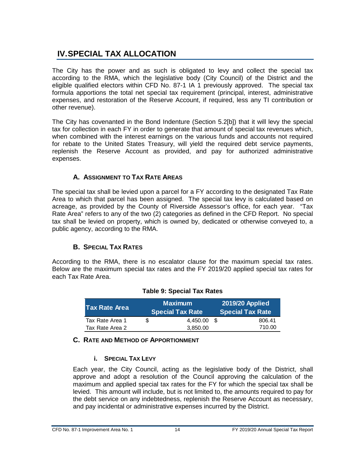# <span id="page-18-0"></span>**IV.SPECIAL TAX ALLOCATION**

The City has the power and as such is obligated to levy and collect the special tax according to the RMA, which the legislative body (City Council) of the District and the eligible qualified electors within CFD No. 87-1 IA 1 previously approved. The special tax formula apportions the total net special tax requirement (principal, interest, administrative expenses, and restoration of the Reserve Account, if required, less any TI contribution or other revenue).

The City has covenanted in the Bond Indenture (Section 5.2[b]) that it will levy the special tax for collection in each FY in order to generate that amount of special tax revenues which, when combined with the interest earnings on the various funds and accounts not required for rebate to the United States Treasury, will yield the required debt service payments, replenish the Reserve Account as provided, and pay for authorized administrative expenses.

## **A. ASSIGNMENT TO TAX RATE AREAS**

<span id="page-18-1"></span>The special tax shall be levied upon a parcel for a FY according to the designated Tax Rate Area to which that parcel has been assigned. The special tax levy is calculated based on acreage, as provided by the County of Riverside Assessor's office, for each year. "Tax Rate Area" refers to any of the two (2) categories as defined in the CFD Report. No special tax shall be levied on property, which is owned by, dedicated or otherwise conveyed to, a public agency, according to the RMA.

### **B. SPECIAL TAX RATES**

<span id="page-18-5"></span><span id="page-18-2"></span>According to the RMA, there is no escalator clause for the maximum special tax rates. Below are the maximum special tax rates and the FY 2019/20 applied special tax rates for each Tax Rate Area.

| lTax Rate Area  |     | <b>Maximum</b><br><b>Special Tax Rate</b> |      | <b>2019/20 Applied</b><br><b>Special Tax Rate</b> |  |  |
|-----------------|-----|-------------------------------------------|------|---------------------------------------------------|--|--|
| Tax Rate Area 1 | \$. | 4.450.00                                  | - SS | 806.41                                            |  |  |
| Tax Rate Area 2 |     | 3.850.00                                  |      | 710.00                                            |  |  |

#### **Table 9: Special Tax Rates**

#### <span id="page-18-4"></span><span id="page-18-3"></span>**C. RATE AND METHOD OF APPORTIONMENT**

#### **i. SPECIAL TAX LEVY**

Each year, the City Council, acting as the legislative body of the District, shall approve and adopt a resolution of the Council approving the calculation of the maximum and applied special tax rates for the FY for which the special tax shall be levied. This amount will include, but is not limited to, the amounts required to pay for the debt service on any indebtedness, replenish the Reserve Account as necessary, and pay incidental or administrative expenses incurred by the District.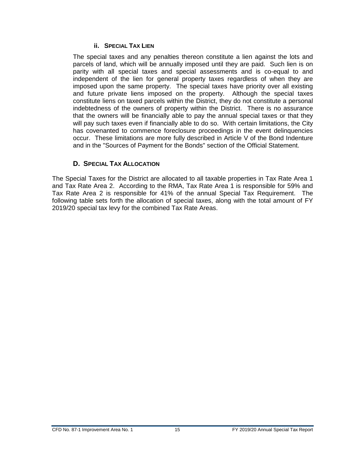#### **ii. SPECIAL TAX LIEN**

<span id="page-19-0"></span>The special taxes and any penalties thereon constitute a lien against the lots and parcels of land, which will be annually imposed until they are paid. Such lien is on parity with all special taxes and special assessments and is co-equal to and independent of the lien for general property taxes regardless of when they are imposed upon the same property. The special taxes have priority over all existing and future private liens imposed on the property. Although the special taxes constitute liens on taxed parcels within the District, they do not constitute a personal indebtedness of the owners of property within the District. There is no assurance that the owners will be financially able to pay the annual special taxes or that they will pay such taxes even if financially able to do so. With certain limitations, the City has covenanted to commence foreclosure proceedings in the event delinquencies occur. These limitations are more fully described in Article V of the Bond Indenture and in the "Sources of Payment for the Bonds" section of the Official Statement.

#### **D. SPECIAL TAX ALLOCATION**

<span id="page-19-1"></span>The Special Taxes for the District are allocated to all taxable properties in Tax Rate Area 1 and Tax Rate Area 2. According to the RMA, Tax Rate Area 1 is responsible for 59% and Tax Rate Area 2 is responsible for 41% of the annual Special Tax Requirement. The following table sets forth the allocation of special taxes, along with the total amount of FY 2019/20 special tax levy for the combined Tax Rate Areas.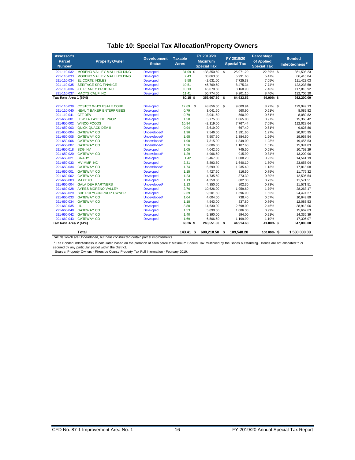<span id="page-20-0"></span>

| Assessor's<br>Parcel<br><b>Number</b> | <b>Property Owner</b>             | <b>Development</b><br><b>Status</b> | <b>Taxable</b><br><b>Acres</b> | FY 2019/20<br><b>Maximum</b><br><b>Special Tax</b> |      | FY 2019/20<br><b>Special Tax</b> | Percentage<br>of Applied<br><b>Special Tax</b> | <b>Bonded</b><br>Indebtedness <sup>2</sup> |
|---------------------------------------|-----------------------------------|-------------------------------------|--------------------------------|----------------------------------------------------|------|----------------------------------|------------------------------------------------|--------------------------------------------|
| 291-110-032                           | MORENO VALLEY MALL HOLDING        | <b>Developed</b>                    | 31.09 \$                       | 138,350.50                                         | \$   | 25,071.20                        | 22.89% \$                                      | 361,598.23                                 |
| 291-110-033                           | <b>MORENO VALLEY MALL HOLDING</b> | <b>Developed</b>                    | 7.43                           | 33.063.50                                          |      | 5.991.60                         | 5.47%                                          | 86.416.04                                  |
| 291-110-034                           | <b>EL CORTE INGLES</b>            | Developed                           | 9.58                           | 42,631.00                                          |      | 7,725.38                         | 7.05%                                          | 111,422.03                                 |
| 291-110-035                           | <b>SERITAGE SRC FINANCE</b>       | <b>Developed</b>                    | 10.51                          | 46,769.50                                          |      | 8,475.34                         | 7.74%                                          | 122.238.58                                 |
| 291-110-036                           | <b>J C PENNEY PROP INC</b>        | <b>Developed</b>                    | 10.13                          | 45,078.50                                          |      | 8,168.90                         | 7.46%                                          | 117,818.92                                 |
| 291-110-037                           | <b>MACYS CALIF INC</b>            | <b>Developed</b>                    | 11.41                          | 50,774.50                                          |      | 9,201.10                         | 8.40%                                          | 132,706.20                                 |
| Tax Rate Area 1 (59%)                 |                                   |                                     | 80.15 \$                       | 356,667.50                                         | - \$ | 64,633.52                        | 59.00%\$                                       | 932,200.00                                 |
| 291-110-039                           | <b>COSTCO WHOLESALE CORP</b>      | <b>Developed</b>                    | 12.69                          | \$<br>48,856.50                                    | -S   | 9,009.94                         | 8.22% \$                                       | 129,949.13                                 |
| 291-110-040                           | <b>NEAL T BAKER ENTERPRISES</b>   | <b>Developed</b>                    | 0.79                           | 3.041.50                                           |      | 560.90                           | 0.51%                                          | 8.089.82                                   |
| 291-110-041                           | <b>CFT DEV</b>                    | <b>Developed</b>                    | 0.79                           | 3,041.50                                           |      | 560.90                           | 0.51%                                          | 8,089.82                                   |
| 291-650-001                           | LEW LA FAYETTE PROP               | <b>Developed</b>                    | 1.50                           | 5,775.00                                           |      | 1,065.00                         | 0.97%                                          | 15,360.42                                  |
| 291-650-002                           | <b>WINCO FOODS</b>                | <b>Developed</b>                    | 10.94                          | 42.119.00                                          |      | 7,767.44                         | 7.09%                                          | 112,028.64                                 |
| 291-650-003                           | <b>QUICK QUACK DEV II</b>         | <b>Developed</b>                    | 0.94                           | 3,619.00                                           |      | 667.40                           | 0.61%                                          | 9,625.86                                   |
| 291-650-004                           | <b>GATEWAY CO</b>                 | Undeveloped <sup>1</sup>            | 1.96                           | 7,546.00                                           |      | 1,391.60                         | 1.27%                                          | 20,070.95                                  |
| 291-650-005                           | <b>GATEWAY CO</b>                 | Undeveloped <sup>1</sup>            | 1.95                           | 7,507.50                                           |      | 1,384.50                         | 1.26%                                          | 19,968.54                                  |
| 291-650-006                           | <b>GATEWAY CO</b>                 | Undeveloped <sup>1</sup>            | 1.90                           | 7.315.00                                           |      | 1,349.00                         | 1.23%                                          | 19.456.53                                  |
| 291-650-007                           | <b>GATEWAY CO</b>                 | Undeveloped <sup>1</sup>            | 1.56                           | 6.006.00                                           |      | 1,107.60                         | 1.01%                                          | 15,974.83                                  |
| 291-650-018                           | <b>SDG INV</b>                    | <b>Developed</b>                    | 1.05                           | 4,042.50                                           |      | 745.50                           | 0.68%                                          | 10,752.29                                  |
| 291-650-020                           | <b>GATEWAY CO</b>                 | Undeveloped <sup>1</sup>            | 1.29                           | 4,966.50                                           |      | 915.90                           | 0.84%                                          | 13,209.96                                  |
| 291-650-021                           | <b>GRADY</b>                      | <b>Developed</b>                    | 1.42                           | 5,467.00                                           |      | 1,008.20                         | 0.92%                                          | 14,541.19                                  |
| 291-650-033                           | <b>MV MMP INC</b>                 | <b>Developed</b>                    | 2.31                           | 8,893.50                                           |      | 1,640.10                         | 1.50%                                          | 23,655.04                                  |
| 291-650-034                           | <b>GATEWAY CO</b>                 | Undeveloped <sup>1</sup>            | 1.74                           | 6,699.00                                           |      | 1,235.40                         | 1.13%                                          | 17,818.08                                  |
| 291-660-001                           | <b>GATEWAY CO</b>                 | <b>Developed</b>                    | 1.15                           | 4,427.50                                           |      | 816.50                           | 0.75%                                          | 11,776.32                                  |
| 291-660-002                           | <b>GATEWAY CO</b>                 | <b>Developed</b>                    | 1.23                           | 4,735.50                                           |      | 873.30                           | 0.80%                                          | 12,595.54                                  |
| 291-660-003                           | <b>MAX EXO</b>                    | <b>Developed</b>                    | 1.13                           | 4,350.50                                           |      | 802.30                           | 0.73%                                          | 11.571.51                                  |
| 291-660-004                           | <b>GALA DEV PARTNERS</b>          | Undeveloped <sup>1</sup>            | 1.13                           | 4,350.50                                           |      | 802.30                           | 0.73%                                          | 11,571.51                                  |
| 291-660-028                           | AYRES MORENO VALLEY               | <b>Developed</b>                    | 2.76                           | 10,626.00                                          |      | 1,959.60                         | 1.79%                                          | 28, 263. 17                                |
| 291-660-029                           | <b>BRE POLYGON PROP OWNER</b>     | <b>Developed</b>                    | 2.39                           | 9.201.50                                           |      | 1,696.90                         | 1.55%                                          | 24,474.27                                  |
| 291-660-033                           | <b>GATEWAY CO</b>                 | Undeveloped <sup>1</sup>            | 1.04                           | 4,004.00                                           |      | 738.40                           | 0.67%                                          | 10,649.89                                  |
| 291-660-034                           | <b>GATEWAY CO</b>                 | <b>Developed</b>                    | 1.18                           | 4.543.00                                           |      | 837.80                           | 0.76%                                          | 12.083.53                                  |
| 291-660-035                           | LIU                               | <b>Developed</b>                    | 3.80                           | 14,630.00                                          |      | 2,698.00                         | 2.46%                                          | 38,913.06                                  |
| 291-660-040                           | <b>GATEWAY CO</b>                 | <b>Developed</b>                    | 1.53                           | 5.890.50                                           |      | 1,086.30                         | 0.99%                                          | 15,667.63                                  |
| 291-660-042                           | <b>GATEWAY CO</b>                 | Developed                           | 1.40                           | 5,390.00                                           |      | 994.00                           | 0.91%                                          | 14,336.39                                  |
| 291-660-043                           | <b>GATEWAY CO</b>                 | <b>Developed</b>                    | 1.69                           | 6,506.50                                           |      | 1,199.90                         | 1.10%                                          | 17,306.07                                  |
| Tax Rate Area 2 (41%)                 |                                   |                                     | 63.26 \$                       | 243,551.00                                         | -\$  | 44,914.68                        | 41.00%\$                                       | 647,800.00                                 |
|                                       | <b>Total</b>                      |                                     | 143.41 S                       | 600.218.50                                         | \$   | 109.548.20                       | 100.00%\$                                      | 1.580.000.00                               |

#### **Table 10: Special Tax Allocation/Property Owners**

1APNs which are Undeveloped, but have constructed certain parcel improvements.

<sup>2</sup> The Bonded Indebtedness is calculated based on the proration of each parcels' Maximum Special Tax multiplied by the Bonds outstanding. Bonds are not allocated to or<br>secured by any particular parcel within the District.

Source: Property Owners - Riverside County Property Tax Roll Information - February 2019.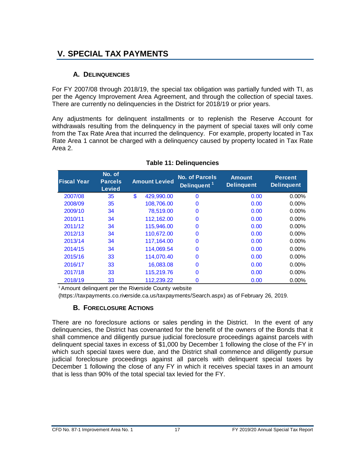# <span id="page-21-0"></span>**V. SPECIAL TAX PAYMENTS**

#### **A. DELINQUENCIES**

<span id="page-21-1"></span>For FY 2007/08 through 2018/19, the special tax obligation was partially funded with TI, as per the Agency Improvement Area Agreement, and through the collection of special taxes. There are currently no delinquencies in the District for 2018/19 or prior years.

Any adjustments for delinquent installments or to replenish the Reserve Account for withdrawals resulting from the delinquency in the payment of special taxes will only come from the Tax Rate Area that incurred the delinquency. For example, property located in Tax Rate Area 1 cannot be charged with a delinquency caused by property located in Tax Rate Area 2.

<span id="page-21-3"></span>

| <b>Fiscal Year</b> | No. of<br><b>Parcels</b><br><b>Levied</b> | <b>Amount Levied</b> | <b>No. of Parcels</b><br>Delinquent <sup>11</sup> | <b>Amount</b><br><b>Delinguent</b> | <b>Percent</b><br><b>Delinquent</b> |
|--------------------|-------------------------------------------|----------------------|---------------------------------------------------|------------------------------------|-------------------------------------|
| 2007/08            | 35                                        | \$<br>429,990.00     | $\mathbf{0}$                                      | 0.00                               | $0.00\%$                            |
| 2008/09            | 35                                        | 108,706.00           | 0                                                 | 0.00                               | $0.00\%$                            |
| 2009/10            | 34                                        | 78,519.00            | 0                                                 | 0.00                               | $0.00\%$                            |
| 2010/11            | 34                                        | 112.162.00           | 0                                                 | 0.00                               | $0.00\%$                            |
| 2011/12            | 34                                        | 115,946.00           | 0                                                 | 0.00                               | $0.00\%$                            |
| 2012/13            | 34                                        | 110.672.00           | 0                                                 | 0.00                               | $0.00\%$                            |
| 2013/14            | 34                                        | 117,164.00           | 0                                                 | 0.00                               | 0.00%                               |
| 2014/15            | 34                                        | 114,069.54           | $\Omega$                                          | 0.00                               | $0.00\%$                            |
| 2015/16            | 33                                        | 114.070.40           | 0                                                 | 0.00                               | $0.00\%$                            |
| 2016/17            | 33                                        | 16,083.08            | 0                                                 | 0.00                               | $0.00\%$                            |
| 2017/18            | 33                                        | 115,219.76           | 0                                                 | 0.00                               | $0.00\%$                            |
| 2018/19            | 33                                        | 112,239.22           | 0                                                 | 0.00                               | 0.00%                               |

#### **Table 11: Delinquencies**

<sup>1</sup> Amount delinquent per the Riverside County website

<span id="page-21-2"></span>(https://taxpayments.co.riverside.ca.us/taxpayments/Search.aspx) as of February 26, 2019.

#### **B. FORECLOSURE ACTIONS**

There are no foreclosure actions or sales pending in the District. In the event of any delinquencies, the District has covenanted for the benefit of the owners of the Bonds that it shall commence and diligently pursue judicial foreclosure proceedings against parcels with delinquent special taxes in excess of \$1,000 by December 1 following the close of the FY in which such special taxes were due, and the District shall commence and diligently pursue judicial foreclosure proceedings against all parcels with delinquent special taxes by December 1 following the close of any FY in which it receives special taxes in an amount that is less than 90% of the total special tax levied for the FY.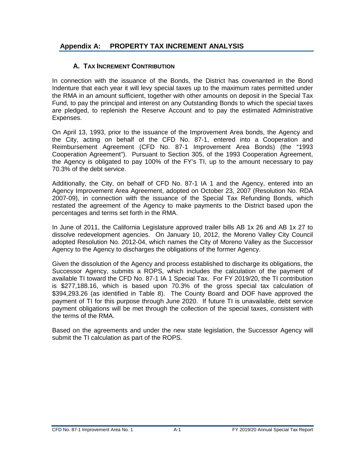#### <span id="page-22-1"></span>**Appendix A: PROPERTY TAX INCREMENT ANALYSIS**

#### <span id="page-22-0"></span>**A. TAX INCREMENT CONTRIBUTION**

In connection with the issuance of the Bonds, the District has covenanted in the Bond Indenture that each year it will levy special taxes up to the maximum rates permitted under the RMA in an amount sufficient, together with other amounts on deposit in the Special Tax Fund, to pay the principal and interest on any Outstanding Bonds to which the special taxes are pledged, to replenish the Reserve Account and to pay the estimated Administrative Expenses.

On April 13, 1993, prior to the issuance of the Improvement Area bonds, the Agency and the City, acting on behalf of the CFD No. 87-1, entered into a Cooperation and Reimbursement Agreement (CFD No. 87-1 Improvement Area Bonds) (the "1993 Cooperation Agreement"). Pursuant to Section 305, of the 1993 Cooperation Agreement, the Agency is obligated to pay 100% of the FY's TI, up to the amount necessary to pay 70.3% of the debt service.

Additionally, the City, on behalf of CFD No. 87-1 IA 1 and the Agency, entered into an Agency Improvement Area Agreement, adopted on October 23, 2007 (Resolution No. RDA 2007-09), in connection with the issuance of the Special Tax Refunding Bonds, which restated the agreement of the Agency to make payments to the District based upon the percentages and terms set forth in the RMA.

In June of 2011, the California Legislature approved trailer bills AB 1x 26 and AB 1x 27 to dissolve redevelopment agencies. On January 10, 2012, the Moreno Valley City Council adopted Resolution No. 2012-04, which names the City of Moreno Valley as the Successor Agency to the Agency to discharges the obligations of the former Agency.

Given the dissolution of the Agency and process established to discharge its obligations, the Successor Agency, submits a ROPS, which includes the calculation of the payment of available TI toward the CFD No. 87-1 IA 1 Special Tax. For FY 2019/20, the TI contribution is \$277,188.16, which is based upon 70.3% of the gross special tax calculation of \$394,293.26 (as identified in Table 8). The County Board and DOF have approved the payment of TI for this purpose through June 2020. If future TI is unavailable, debt service payment obligations will be met through the collection of the special taxes, consistent with the terms of the RMA.

Based on the agreements and under the new state legislation, the Successor Agency will submit the TI calculation as part of the ROPS.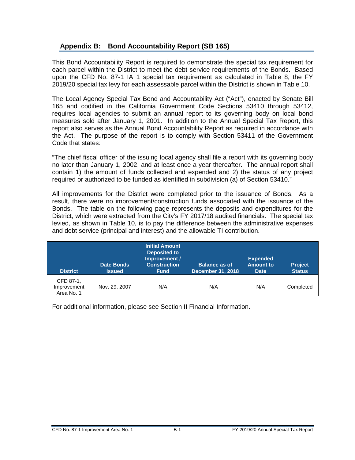#### <span id="page-23-0"></span>**Appendix B: Bond Accountability Report (SB 165)**

This Bond Accountability Report is required to demonstrate the special tax requirement for each parcel within the District to meet the debt service requirements of the Bonds. Based upon the CFD No. 87-1 IA 1 special tax requirement as calculated in Table 8, the FY 2019/20 special tax levy for each assessable parcel within the District is shown in Table 10.

The Local Agency Special Tax Bond and Accountability Act ("Act"), enacted by Senate Bill 165 and codified in the California Government Code Sections 53410 through 53412, requires local agencies to submit an annual report to its governing body on local bond measures sold after January 1, 2001. In addition to the Annual Special Tax Report, this report also serves as the Annual Bond Accountability Report as required in accordance with the Act. The purpose of the report is to comply with Section 53411 of the Government Code that states:

"The chief fiscal officer of the issuing local agency shall file a report with its governing body no later than January 1, 2002, and at least once a year thereafter. The annual report shall contain 1) the amount of funds collected and expended and 2) the status of any project required or authorized to be funded as identified in subdivision (a) of Section 53410."

All improvements for the District were completed prior to the issuance of Bonds. As a result, there were no improvement/construction funds associated with the issuance of the Bonds. The table on the following page represents the deposits and expenditures for the District, which were extracted from the City's FY 2017/18 audited financials. The special tax levied, as shown in Table 10, is to pay the difference between the administrative expenses and debt service (principal and interest) and the allowable TI contribution.

| <b>District</b>                        | <b>Date Bonds</b><br><b>Issued</b> | <b>Initial Amount</b><br><b>Deposited to</b><br>Improvement /<br><b>Construction</b><br><b>Fund</b> | <b>Balance as of</b><br>December 31, 2018 | <b>Expended</b><br><b>Amount to</b><br><b>Date</b> | <b>Project</b><br><b>Status</b> |
|----------------------------------------|------------------------------------|-----------------------------------------------------------------------------------------------------|-------------------------------------------|----------------------------------------------------|---------------------------------|
| CFD 87-1,<br>Improvement<br>Area No. 1 | Nov. 29, 2007                      | N/A                                                                                                 | N/A                                       | N/A                                                | Completed                       |

For additional information, please see Section II Financial Information.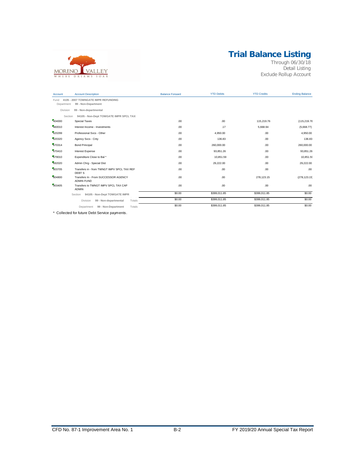# **Trial Balance Listing**



Through 06/30/18 Detail Listing Exclude Rollup Account

| Account            | <b>Account Description</b>                                       | <b>Balance Forward</b> | <b>YTD Debits</b> | <b>YTD Credits</b> | <b>Ending Balance</b> |
|--------------------|------------------------------------------------------------------|------------------------|-------------------|--------------------|-----------------------|
| Fund<br>Department | 4105 - 2007 TOWNGATE IMPR REFUNDING<br>99 - Non-Department       |                        |                   |                    |                       |
| Division           | 99 - Non-departmental                                            |                        |                   |                    |                       |
| Section<br>404000  | 94105 - Non-Dept TOWGATE IMPR SPCL TAX<br><b>Special Taxes</b>   | .00                    | .00               | 115,219.76         | (115,219.76           |
| 460010             | Interest Income - Investments                                    | .00                    | .17               | 5,668.94           | (5,668.77)            |
| 620299             | Professional Svcs - Other                                        | .00                    | 4,950.00          | .00                | 4,950.00              |
| 620320             | Agency Svcs - Cnty                                               | .00                    | 136.83            | .00.               | 136.83                |
| 670314             | <b>Bond Principal</b>                                            | .00                    | 260,000.00        | .00.               | 260,000.00            |
| 670410             | Interest Expense                                                 | .00                    | 93,851.26         | .00.               | 93,851.26             |
| 679010             | Expenditure Close to Bal*                                        | .00                    | 10,851.59         | .00.               | 10,851.59             |
| 692020             | Admin Chrg - Special Dist                                        | .00                    | 29,222.00         | .00.               | 29,222.00             |
| 803705             | Transfers in - from TWNGT IMPV SPCL TAX REF<br>DEBT <sub>S</sub> | .00                    | .00               | .00                | .00                   |
| 804800             | Transfers In - From SUCCESSOR AGENCY<br><b>ADMIN FUND</b>        | .00.                   | .00               | 278,123.15         | (278, 123.15)         |
| 903405             | Transfers to TWNGT IMPV SPCL TAX CAP<br><b>ADMIN</b>             | .00                    | .00               | .00.               | .00                   |
|                    | 94105 - Non-Dept TOWGATE IMPR<br>Section                         | \$0.00                 | \$399,011.85      | \$399,011.85       | \$0.00                |
|                    | Totals<br>Division<br>99 - Non-departmental                      | \$0.00                 | \$399,011.85      | \$399,011.85       | \$0.00                |
|                    | 99 - Non-Department<br>Totals<br>Department                      | \$0.00                 | \$399,011.85      | \$399,011.85       | \$0.00                |

\* Collected for future Debt Service payments.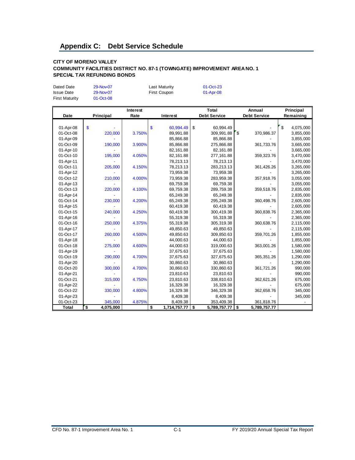#### <span id="page-25-0"></span>**CITY OF MORENO VALLEY COMMUNITY FACILITIES DISTRICT NO. 87-1 (TOWNGATE) IMPROVEMENT AREA NO. 1 SPECIAL TAX REFUNDING BONDS**

Dated Date 29-Nov-07 Last Maturity 01-Oct-23

| <b>Issue Date</b>     | 29-Nov-07                            |                  | First Coupon       | 01-Apr-08                  |                     |                        |
|-----------------------|--------------------------------------|------------------|--------------------|----------------------------|---------------------|------------------------|
| <b>First Maturity</b> | 01-Oct-08                            |                  |                    |                            |                     |                        |
|                       |                                      |                  |                    | <b>Total</b>               | Annual              |                        |
| Date                  | Principal                            | Interest<br>Rate | Interest           | <b>Debt Service</b>        | <b>Debt Service</b> | Principal<br>Remaining |
|                       |                                      |                  |                    |                            |                     |                        |
| 01-Apr-08             | \$                                   |                  | \$<br>60,994.49    | $\mathfrak s$<br>60,994.49 |                     | \$<br>4,075,000        |
| 01-Oct-08             | 220,000                              | 3.750%           | 89,991.88          | 309,991.88                 | ' \$<br>370,986.37  | 3,855,000              |
| 01-Apr-09             |                                      |                  | 85,866.88          | 85,866.88                  |                     | 3,855,000              |
| 01-Oct-09             | 190,000                              | 3.900%           | 85,866.88          | 275,866.88                 | 361,733.76          | 3,665,000              |
| 01-Apr-10             |                                      |                  | 82, 161.88         | 82,161.88                  |                     | 3,665,000              |
| 01-Oct-10             | 195,000                              | 4.050%           | 82, 161.88         | 277,161.88                 | 359,323.76          | 3,470,000              |
| 01-Apr-11             |                                      |                  | 78,213.13          | 78,213.13                  |                     | 3,470,000              |
| 01-Oct-11             | 205,000                              | 4.150%           | 78,213.13          | 283,213.13                 | 361,426.26          | 3,265,000              |
| 01-Apr-12             |                                      |                  | 73,959.38          | 73,959.38                  |                     | 3,265,000              |
| 01-Oct-12             | 210,000                              | 4.000%           | 73,959.38          | 283,959.38                 | 357,918.76          | 3,055,000              |
| 01-Apr-13             |                                      |                  | 69,759.38          | 69,759.38                  |                     | 3,055,000              |
| 01-Oct-13             | 220,000                              | 4.100%           | 69,759.38          | 289,759.38                 | 359,518.76          | 2,835,000              |
| 01-Apr-14             |                                      |                  | 65,249.38          | 65,249.38                  |                     | 2,835,000              |
| 01-Oct-14             | 230,000                              | 4.200%           | 65,249.38          | 295,249.38                 | 360,498.76          | 2,605,000              |
| 01-Apr-15             |                                      |                  | 60,419.38          | 60,419.38                  |                     | 2,605,000              |
| 01-Oct-15             | 240,000                              | 4.250%           | 60,419.38          | 300,419.38                 | 360,838.76          | 2,365,000              |
| 01-Apr-16             |                                      |                  | 55,319.38          | 55,319.38                  |                     | 2,365,000              |
| 01-Oct-16             | 250,000                              | 4.375%           | 55,319.38          | 305,319.38                 | 360,638.76          | 2,115,000              |
| 01-Apr-17             |                                      |                  | 49,850.63          | 49,850.63                  |                     | 2,115,000              |
| 01-Oct-17             | 260,000                              | 4.500%           | 49,850.63          | 309,850.63                 | 359,701.26          | 1,855,000              |
| 01-Apr-18             |                                      |                  | 44,000.63          | 44,000.63                  |                     | 1,855,000              |
| 01-Oct-18             | 275,000                              | 4.600%           | 44,000.63          | 319,000.63                 | 363,001.26          | 1,580,000              |
| 01-Apr-19             |                                      |                  | 37,675.63          | 37,675.63                  |                     | 1,580,000              |
| 01-Oct-19             | 290,000                              | 4.700%           | 37,675.63          | 327,675.63                 | 365,351.26          | 1,290,000              |
| 01-Apr-20             |                                      |                  | 30,860.63          | 30,860.63                  |                     | 1,290,000              |
| 01-Oct-20             | 300,000                              | 4.700%           | 30,860.63          | 330,860.63                 | 361,721.26          | 990,000                |
| 01-Apr-21             |                                      |                  | 23,810.63          | 23,810.63                  |                     | 990,000                |
| 01-Oct-21             | 315,000                              | 4.750%           | 23,810.63          | 338,810.63                 | 362,621.26          | 675,000                |
| 01-Apr-22             |                                      |                  | 16,329.38          | 16,329.38                  |                     | 675,000                |
| 01-Oct-22             | 330,000                              | 4.800%           | 16,329.38          | 346,329.38                 | 362,658.76          | 345,000                |
| 01-Apr-23             |                                      |                  | 8,409.38           | 8,409.38                   |                     | 345,000                |
| 01-Oct-23             | 345,000                              | 4.875%           | 8,409.38           | 353,409.38                 | 361,818.76          |                        |
| <b>Total</b>          | $\overline{\mathbf{S}}$<br>4,075,000 |                  | \$<br>1,714,757.77 | \$<br>5,789,757.77         | \$<br>5,789,757.77  |                        |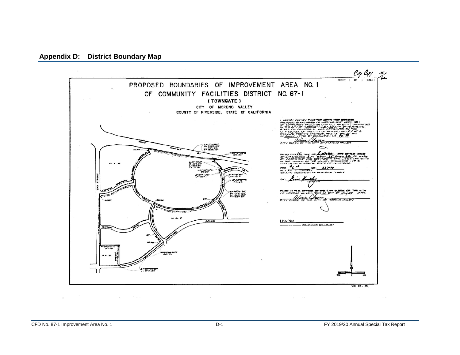<span id="page-26-0"></span>